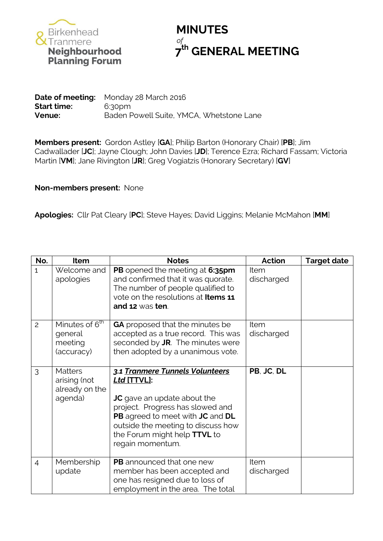

## **MINUTES** *of* **th GENERAL MEETING**

**Date of meeting:** Monday 28 March 2016 **Start time:** 6:30pm **Venue:** Baden Powell Suite, YMCA, Whetstone Lane

**Members present:** Gordon Astley [**GA**]; Philip Barton (Honorary Chair) [**PB**]; Jim Cadwallader [**JC**]; Jayne Clough; John Davies [**JD**]; Terence Ezra; Richard Fassam; Victoria Martin [**VM**]; Jane Rivington [**JR**]; Greg Vogiatzis (Honorary Secretary) [**GV**]

## **Non-members present:** None

**Apologies:** Cllr Pat Cleary [**PC**]; Steve Hayes; David Liggins; Melanie McMahon [**MM**]

| No.            | <b>Item</b>                                                    | <b>Notes</b>                                                                                                                                                                                                                                    | <b>Action</b>      | <b>Target date</b> |
|----------------|----------------------------------------------------------------|-------------------------------------------------------------------------------------------------------------------------------------------------------------------------------------------------------------------------------------------------|--------------------|--------------------|
| $\mathbf{1}$   | Welcome and<br>apologies                                       | PB opened the meeting at 6:35pm<br>and confirmed that it was quorate.<br>The number of people qualified to<br>vote on the resolutions at Items 11<br>and 12 was ten.                                                                            | Item<br>discharged |                    |
| $\overline{c}$ | Minutes of 6 <sup>th</sup><br>general<br>meeting<br>(accuracy) | GA proposed that the minutes be<br>accepted as a true record. This was<br>seconded by JR. The minutes were<br>then adopted by a unanimous vote.                                                                                                 | Item<br>discharged |                    |
| 3              | <b>Matters</b><br>arising (not<br>already on the<br>agenda)    | 3.1 Tranmere Tunnels Volunteers<br>Ltd [TTVL]:<br>JC gave an update about the<br>project. Progress has slowed and<br>PB agreed to meet with JC and DL<br>outside the meeting to discuss how<br>the Forum might help TTVL to<br>regain momentum. | PB, JC, DL         |                    |
| $\overline{4}$ | Membership<br>update                                           | <b>PB</b> announced that one new<br>member has been accepted and<br>one has resigned due to loss of<br>employment in the area. The total                                                                                                        | Item<br>discharged |                    |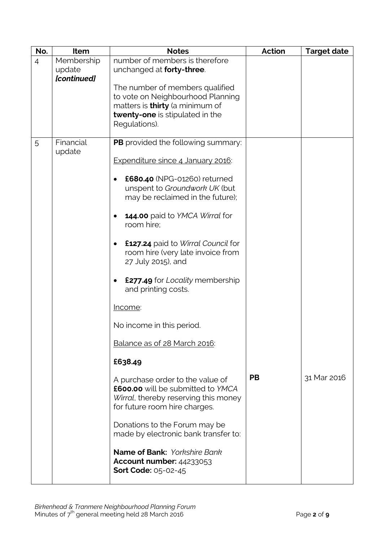| No.            | Item                                | <b>Notes</b>                                                                                                                                                       | <b>Action</b> | <b>Target date</b> |
|----------------|-------------------------------------|--------------------------------------------------------------------------------------------------------------------------------------------------------------------|---------------|--------------------|
| $\overline{4}$ | Membership<br>update<br>[continued] | number of members is therefore<br>unchanged at forty-three.                                                                                                        |               |                    |
|                |                                     | The number of members qualified<br>to vote on Neighbourhood Planning<br>matters is <b>thirty</b> (a minimum of<br>twenty-one is stipulated in the<br>Regulations). |               |                    |
| 5              | Financial<br>update                 | <b>PB</b> provided the following summary:                                                                                                                          |               |                    |
|                |                                     | Expenditure since 4 January 2016:                                                                                                                                  |               |                    |
|                |                                     | £680.40 (NPG-01260) returned<br>unspent to Groundwork UK (but<br>may be reclaimed in the future);                                                                  |               |                    |
|                |                                     | 144.00 paid to YMCA Wirral for<br>room hire;                                                                                                                       |               |                    |
|                |                                     | <b>£127.24</b> paid to Wirral Council for<br>٠<br>room hire (very late invoice from<br>27 July 2015), and                                                          |               |                    |
|                |                                     | <b>£277.49</b> for <i>Locality</i> membership<br>and printing costs.                                                                                               |               |                    |
|                |                                     | <u>Income</u> :                                                                                                                                                    |               |                    |
|                |                                     | No income in this period.                                                                                                                                          |               |                    |
|                |                                     | Balance as of 28 March 2016:                                                                                                                                       |               |                    |
|                |                                     | £638.49                                                                                                                                                            |               |                    |
|                |                                     | A purchase order to the value of<br>£600.00 will be submitted to YMCA<br>Wirral, thereby reserving this money<br>for future room hire charges.                     | <b>PB</b>     | 31 Mar 2016        |
|                |                                     | Donations to the Forum may be<br>made by electronic bank transfer to:                                                                                              |               |                    |
|                |                                     | Name of Bank: Yorkshire Bank<br><b>Account number: 44233053</b><br><b>Sort Code: 05-02-45</b>                                                                      |               |                    |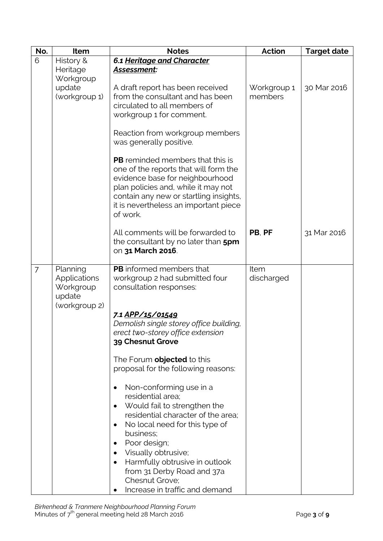| No. | Item                                                             | <b>Notes</b>                                                                                                                                                                                                                                                                                                                                                                                       | <b>Action</b>          | <b>Target date</b> |
|-----|------------------------------------------------------------------|----------------------------------------------------------------------------------------------------------------------------------------------------------------------------------------------------------------------------------------------------------------------------------------------------------------------------------------------------------------------------------------------------|------------------------|--------------------|
| 6   | History &<br>Heritage<br>Workgroup                               | 6.1 Heritage and Character<br>Assessment:                                                                                                                                                                                                                                                                                                                                                          |                        |                    |
|     | update<br>(workgroup 1)                                          | A draft report has been received<br>from the consultant and has been<br>circulated to all members of<br>workgroup 1 for comment.                                                                                                                                                                                                                                                                   | Workgroup 1<br>members | 30 Mar 2016        |
|     |                                                                  | Reaction from workgroup members<br>was generally positive.                                                                                                                                                                                                                                                                                                                                         |                        |                    |
|     |                                                                  | <b>PB</b> reminded members that this is<br>one of the reports that will form the<br>evidence base for neighbourhood<br>plan policies and, while it may not<br>contain any new or startling insights,<br>it is nevertheless an important piece<br>of work.                                                                                                                                          |                        |                    |
|     |                                                                  | All comments will be forwarded to<br>the consultant by no later than 5pm<br>on 31 March 2016.                                                                                                                                                                                                                                                                                                      | PB, PF                 | 31 Mar 2016        |
| 7   | Planning<br>Applications<br>Workgroup<br>update<br>(workgroup 2) | <b>PB</b> informed members that<br>workgroup 2 had submitted four<br>consultation responses:                                                                                                                                                                                                                                                                                                       | Item<br>discharged     |                    |
|     |                                                                  | 7.1 APP/15/01549<br>Demolish single storey office building,<br>erect two-storey office extension<br>39 Chesnut Grove                                                                                                                                                                                                                                                                               |                        |                    |
|     |                                                                  | The Forum <b>objected</b> to this<br>proposal for the following reasons:                                                                                                                                                                                                                                                                                                                           |                        |                    |
|     |                                                                  | Non-conforming use in a<br>$\bullet$<br>residential area;<br>Would fail to strengthen the<br>$\bullet$<br>residential character of the area;<br>No local need for this type of<br>$\bullet$<br>business;<br>Poor design;<br>$\bullet$<br>Visually obtrusive;<br>٠<br>Harmfully obtrusive in outlook<br>$\bullet$<br>from 31 Derby Road and 37a<br>Chesnut Grove;<br>Increase in traffic and demand |                        |                    |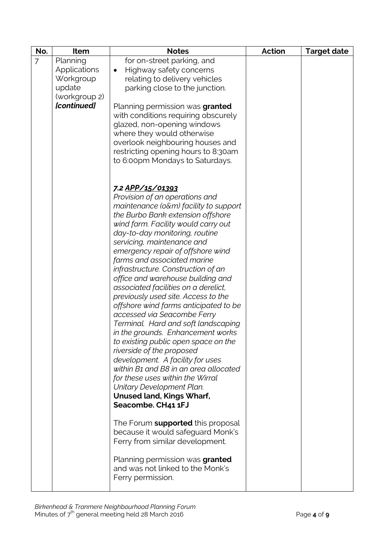| No.            | Item                                                                            | <b>Notes</b>                                                                                                                                                                                                                                                                                                                                                                                                                                                                                                                                                                                                                                                                                                                                                                                                                                                                                                                                                                                                                                           | <b>Action</b> | <b>Target date</b> |
|----------------|---------------------------------------------------------------------------------|--------------------------------------------------------------------------------------------------------------------------------------------------------------------------------------------------------------------------------------------------------------------------------------------------------------------------------------------------------------------------------------------------------------------------------------------------------------------------------------------------------------------------------------------------------------------------------------------------------------------------------------------------------------------------------------------------------------------------------------------------------------------------------------------------------------------------------------------------------------------------------------------------------------------------------------------------------------------------------------------------------------------------------------------------------|---------------|--------------------|
| $\overline{7}$ | Planning<br>Applications<br>Workgroup<br>update<br>(workgroup 2)<br>[continued] | for on-street parking, and<br>Highway safety concerns<br>$\bullet$<br>relating to delivery vehicles<br>parking close to the junction.<br>Planning permission was <b>granted</b><br>with conditions requiring obscurely<br>glazed, non-opening windows<br>where they would otherwise<br>overlook neighbouring houses and<br>restricting opening hours to 8:30am<br>to 6:00pm Mondays to Saturdays.                                                                                                                                                                                                                                                                                                                                                                                                                                                                                                                                                                                                                                                      |               |                    |
|                |                                                                                 | 7.2 APP/15/01393<br>Provision of an operations and<br>maintenance (o&m) facility to support<br>the Burbo Bank extension offshore<br>wind farm. Facility would carry out<br>day-to-day monitoring, routine<br>servicing, maintenance and<br>emergency repair of offshore wind<br>farms and associated marine<br>infrastructure. Construction of an<br>office and warehouse building and<br>associated facilities on a derelict,<br>previously used site. Access to the<br>offshore wind farms anticipated to be<br>accessed via Seacombe Ferry<br>Terminal. Hard and soft landscaping<br>in the grounds. Enhancement works<br>to existing public open space on the<br>riverside of the proposed<br>development. A facility for uses<br>within B1 and B8 in an area allocated<br>for these uses within the Wirral<br>Unitary Development Plan.<br><b>Unused land, Kings Wharf,</b><br>Seacombe. CH41 1FJ<br>The Forum supported this proposal<br>because it would safeguard Monk's<br>Ferry from similar development.<br>Planning permission was granted |               |                    |
|                |                                                                                 | and was not linked to the Monk's<br>Ferry permission.                                                                                                                                                                                                                                                                                                                                                                                                                                                                                                                                                                                                                                                                                                                                                                                                                                                                                                                                                                                                  |               |                    |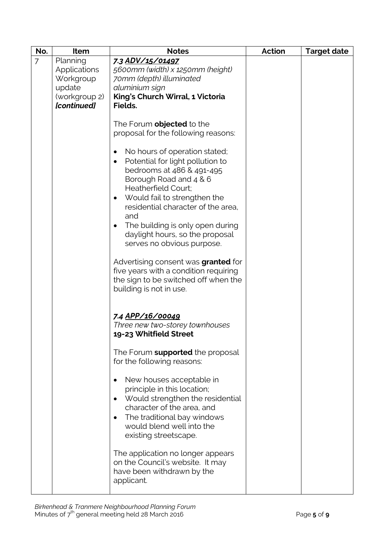| No.            | Item          | <b>Notes</b>                                  | <b>Action</b> | <b>Target date</b> |
|----------------|---------------|-----------------------------------------------|---------------|--------------------|
| $\overline{7}$ | Planning      | 7.3 ADV/15/01497                              |               |                    |
|                | Applications  | 5600mm (width) x 1250mm (height)              |               |                    |
|                | Workgroup     | 70mm (depth) illuminated                      |               |                    |
|                | update        | aluminium sign                                |               |                    |
|                | (workgroup 2) | King's Church Wirral, 1 Victoria              |               |                    |
|                | [continued]   | Fields.                                       |               |                    |
|                |               |                                               |               |                    |
|                |               | The Forum <b>objected</b> to the              |               |                    |
|                |               | proposal for the following reasons:           |               |                    |
|                |               |                                               |               |                    |
|                |               | No hours of operation stated;<br>٠            |               |                    |
|                |               | Potential for light pollution to<br>$\bullet$ |               |                    |
|                |               | bedrooms at 486 & 491-495                     |               |                    |
|                |               | Borough Road and 4 & 6                        |               |                    |
|                |               | Heatherfield Court;                           |               |                    |
|                |               | Would fail to strengthen the<br>٠             |               |                    |
|                |               | residential character of the area.            |               |                    |
|                |               | and                                           |               |                    |
|                |               | The building is only open during<br>$\bullet$ |               |                    |
|                |               | daylight hours, so the proposal               |               |                    |
|                |               | serves no obvious purpose.                    |               |                    |
|                |               |                                               |               |                    |
|                |               | Advertising consent was granted for           |               |                    |
|                |               | five years with a condition requiring         |               |                    |
|                |               | the sign to be switched off when the          |               |                    |
|                |               | building is not in use.                       |               |                    |
|                |               |                                               |               |                    |
|                |               |                                               |               |                    |
|                |               | 7.4 APP/16/00049                              |               |                    |
|                |               | Three new two-storey townhouses               |               |                    |
|                |               | 19-23 Whitfield Street                        |               |                    |
|                |               | The Forum supported the proposal              |               |                    |
|                |               | for the following reasons:                    |               |                    |
|                |               |                                               |               |                    |
|                |               | New houses acceptable in<br>$\bullet$         |               |                    |
|                |               | principle in this location;                   |               |                    |
|                |               | Would strengthen the residential              |               |                    |
|                |               | $\bullet$<br>character of the area, and       |               |                    |
|                |               |                                               |               |                    |
|                |               | The traditional bay windows<br>$\bullet$      |               |                    |
|                |               | would blend well into the                     |               |                    |
|                |               | existing streetscape.                         |               |                    |
|                |               | The application no longer appears             |               |                    |
|                |               | on the Council's website. It may              |               |                    |
|                |               | have been withdrawn by the                    |               |                    |
|                |               | applicant.                                    |               |                    |
|                |               |                                               |               |                    |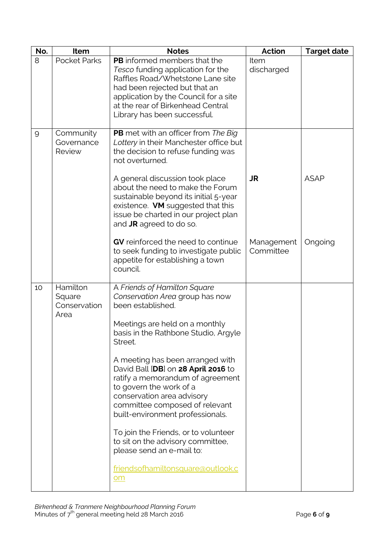| No.          | Item                                       | <b>Notes</b>                                                                                                                                                                                                                                                | <b>Action</b>           | <b>Target date</b> |
|--------------|--------------------------------------------|-------------------------------------------------------------------------------------------------------------------------------------------------------------------------------------------------------------------------------------------------------------|-------------------------|--------------------|
| 8            | <b>Pocket Parks</b>                        | <b>PB</b> informed members that the<br>Tesco funding application for the<br>Raffles Road/Whetstone Lane site<br>had been rejected but that an<br>application by the Council for a site<br>at the rear of Birkenhead Central<br>Library has been successful. | Item<br>discharged      |                    |
| $\mathsf{Q}$ | Community<br>Governance<br>Review          | PB met with an officer from The Big<br>Lottery in their Manchester office but<br>the decision to refuse funding was<br>not overturned.                                                                                                                      |                         |                    |
|              |                                            | A general discussion took place<br>about the need to make the Forum<br>sustainable beyond its initial 5-year<br>existence. VM suggested that this<br>issue be charted in our project plan<br>and JR agreed to do so.                                        | <b>JR</b>               | <b>ASAP</b>        |
|              |                                            | <b>GV</b> reinforced the need to continue<br>to seek funding to investigate public<br>appetite for establishing a town<br>council.                                                                                                                          | Management<br>Committee | Ongoing            |
| 10           | Hamilton<br>Square<br>Conservation<br>Area | A Friends of Hamilton Square<br>Conservation Area group has now<br>been established.<br>Meetings are held on a monthly<br>basis in the Rathbone Studio, Argyle<br>Street.                                                                                   |                         |                    |
|              |                                            | A meeting has been arranged with<br>David Ball [DB] on 28 April 2016 to<br>ratify a memorandum of agreement<br>to govern the work of a<br>conservation area advisory<br>committee composed of relevant<br>built-environment professionals.                  |                         |                    |
|              |                                            | To join the Friends, or to volunteer<br>to sit on the advisory committee,<br>please send an e-mail to:<br>friendsofhamiltonsquare@outlook.c<br>$\underline{\text{om}}$                                                                                      |                         |                    |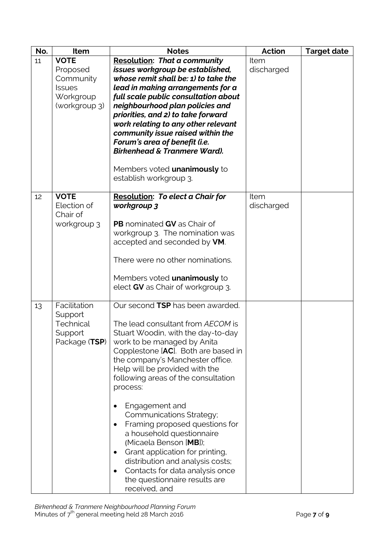| No. | Item                                                                                | <b>Notes</b>                                                                                                                                                                                                                                                                                                                                                                                                                                                                                                                                                                                                                 | <b>Action</b>      | <b>Target date</b> |
|-----|-------------------------------------------------------------------------------------|------------------------------------------------------------------------------------------------------------------------------------------------------------------------------------------------------------------------------------------------------------------------------------------------------------------------------------------------------------------------------------------------------------------------------------------------------------------------------------------------------------------------------------------------------------------------------------------------------------------------------|--------------------|--------------------|
| 11  | <b>VOTE</b><br>Proposed<br>Community<br><b>Issues</b><br>Workgroup<br>(workgroup 3) | <b>Resolution: That a community</b><br>issues workgroup be established,<br>whose remit shall be: 1) to take the<br>lead in making arrangements for a<br>full scale public consultation about<br>neighbourhood plan policies and<br>priorities, and 2) to take forward<br>work relating to any other relevant<br>community issue raised within the<br>Forum's area of benefit (i.e.<br><b>Birkenhead &amp; Tranmere Ward).</b><br>Members voted unanimously to<br>establish workgroup 3.                                                                                                                                      | Item<br>discharged |                    |
| 12  | <b>VOTE</b><br>Election of<br>Chair of<br>workgroup 3                               | Resolution: To elect a Chair for<br>workgroup 3<br><b>PB</b> nominated <b>GV</b> as Chair of<br>workgroup 3. The nomination was<br>accepted and seconded by VM.<br>There were no other nominations.<br>Members voted <b>unanimously</b> to<br>elect GV as Chair of workgroup 3.                                                                                                                                                                                                                                                                                                                                              | Item<br>discharged |                    |
| 13  | Facilitation<br>Support<br><b>Technical</b><br>Support<br>Package (TSP)             | Our second TSP has been awarded.<br>The lead consultant from AECOM is<br>Stuart Woodin, with the day-to-day<br>work to be managed by Anita<br>Copplestone [AC]. Both are based in<br>the company's Manchester office.<br>Help will be provided with the<br>following areas of the consultation<br>process:<br>Engagement and<br>Communications Strategy;<br>Framing proposed questions for<br>٠<br>a household questionnaire<br>(Micaela Benson [MB]);<br>Grant application for printing,<br>٠<br>distribution and analysis costs;<br>Contacts for data analysis once<br>٠<br>the questionnaire results are<br>received, and |                    |                    |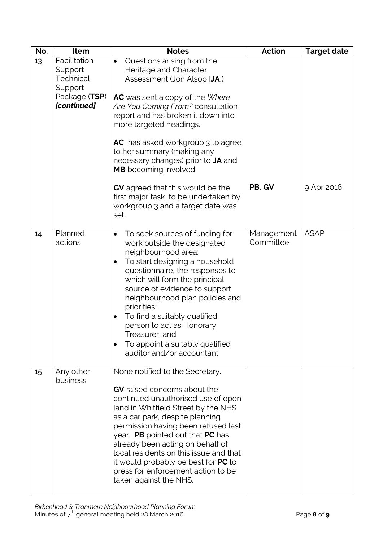| No. | Item                                                                            | <b>Notes</b>                                                                                                                                                                                                                                                                                                                                                                                                                                           | <b>Action</b>           | <b>Target date</b> |
|-----|---------------------------------------------------------------------------------|--------------------------------------------------------------------------------------------------------------------------------------------------------------------------------------------------------------------------------------------------------------------------------------------------------------------------------------------------------------------------------------------------------------------------------------------------------|-------------------------|--------------------|
| 13  | Facilitation<br>Support<br>Technical<br>Support<br>Package (TSP)<br>[continued] | Questions arising from the<br>Heritage and Character<br>Assessment (Jon Alsop [JA])<br>AC was sent a copy of the Where<br>Are You Coming From? consultation<br>report and has broken it down into<br>more targeted headings.<br>AC has asked workgroup 3 to agree<br>to her summary (making any<br>necessary changes) prior to JA and<br><b>MB</b> becoming involved.                                                                                  |                         |                    |
|     |                                                                                 | <b>GV</b> agreed that this would be the<br>first major task to be undertaken by<br>workgroup 3 and a target date was<br>set.                                                                                                                                                                                                                                                                                                                           | PB, GV                  | 9 Apr 2016         |
| 14  | Planned<br>actions                                                              | To seek sources of funding for<br>work outside the designated<br>neighbourhood area;<br>To start designing a household<br>questionnaire, the responses to<br>which will form the principal<br>source of evidence to support<br>neighbourhood plan policies and<br>priorities;<br>To find a suitably qualified<br>$\bullet$<br>person to act as Honorary<br>Treasurer, and<br>To appoint a suitably qualified<br>auditor and/or accountant.             | Management<br>Committee | <b>ASAP</b>        |
| 15  | Any other<br>business                                                           | None notified to the Secretary.<br>GV raised concerns about the<br>continued unauthorised use of open<br>land in Whitfield Street by the NHS<br>as a car park, despite planning<br>permission having been refused last<br>year. PB pointed out that PC has<br>already been acting on behalf of<br>local residents on this issue and that<br>it would probably be best for <b>PC</b> to<br>press for enforcement action to be<br>taken against the NHS. |                         |                    |